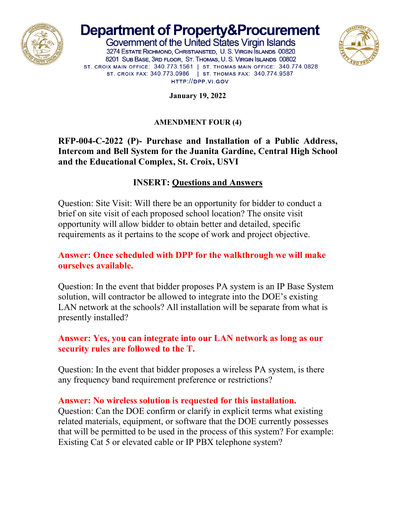

# **Department of Property&Procurement**

Government of the United States Virgin Islands 3274 ESTATE RICHMOND, CHRISTIANSTED, U. S. VIRGIN SLANDS 00820 8201 SUB BASE, 3RD FLOOR, ST. THOMAS, U. S. VIRGIN ISLANDS 00802 ST. CROIX MAIN OFFICE: 340.773.1561 | ST. THOMAS MAIN OFFICE: 340.774.0828 ST. CROIX FAX: 340.773.0986 | ST. THOMAS FAX: 340.774.9587 HTTP://DPP.VI.GOV



**January 19, 2022**

#### **AMENDMENT FOUR (4)**

## **RFP-004-C-2022 (P)- Purchase and Installation of a Public Address, Intercom and Bell System for the Juanita Gardine, Central High School and the Educational Complex, St. Croix, USVI**

# **INSERT: Questions and Answers**

Question: Site Visit: Will there be an opportunity for bidder to conduct a brief on site visit of each proposed school location? The onsite visit opportunity will allow bidder to obtain better and detailed, specific requirements as it pertains to the scope of work and project objective.

## **Answer: Once scheduled with DPP for the walkthrough we will make ourselves available.**

Question: In the event that bidder proposes PA system is an IP Base System solution, will contractor be allowed to integrate into the DOE's existing LAN network at the schools? All installation will be separate from what is presently installed?

## **Answer: Yes, you can integrate into our LAN network as long as our security rules are followed to the T.**

Question: In the event that bidder proposes a wireless PA system, is there any frequency band requirement preference or restrictions?

## **Answer: No wireless solution is requested for this installation.**

Question: Can the DOE confirm or clarify in explicit terms what existing related materials, equipment, or software that the DOE currently possesses that will be permitted to be used in the process of this system? For example: Existing Cat 5 or elevated cable or IP PBX telephone system?